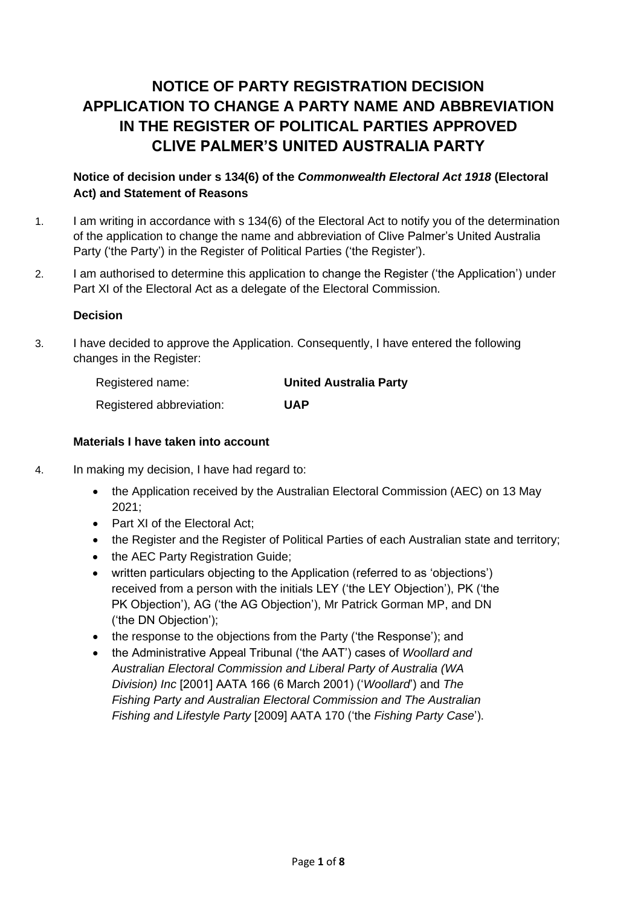# **NOTICE OF PARTY REGISTRATION DECISION APPLICATION TO CHANGE A PARTY NAME AND ABBREVIATION IN THE REGISTER OF POLITICAL PARTIES APPROVED CLIVE PALMER'S UNITED AUSTRALIA PARTY**

# **Notice of decision under s 134(6) of the** *Commonwealth Electoral Act 1918* **(Electoral Act) and Statement of Reasons**

- 1. I am writing in accordance with s 134(6) of the Electoral Act to notify you of the determination of the application to change the name and abbreviation of Clive Palmer's United Australia Party ('the Party') in the Register of Political Parties ('the Register').
- 2. I am authorised to determine this application to change the Register ('the Application') under Part XI of the Electoral Act as a delegate of the Electoral Commission.

# **Decision**

3. I have decided to approve the Application. Consequently, I have entered the following changes in the Register:

| Registered name:         | <b>United Australia Party</b> |
|--------------------------|-------------------------------|
| Registered abbreviation: | UAP                           |

# **Materials I have taken into account**

- 4. In making my decision, I have had regard to:
	- the Application received by the Australian Electoral Commission (AEC) on 13 May 2021;
	- Part XI of the Electoral Act:
	- the Register and the Register of Political Parties of each Australian state and territory;
	- the AEC Party Registration Guide;
	- written particulars objecting to the Application (referred to as 'objections') received from a person with the initials LEY ('the LEY Objection'), PK ('the PK Objection'), AG ('the AG Objection'), Mr Patrick Gorman MP, and DN ('the DN Objection');
	- the response to the objections from the Party ('the Response'); and
	- the Administrative Appeal Tribunal ('the AAT') cases of *Woollard and Australian Electoral Commission and Liberal Party of Australia (WA Division) Inc* [2001] AATA 166 (6 March 2001) ('*Woollard*') and *The Fishing Party and Australian Electoral Commission and The Australian Fishing and Lifestyle Party* [2009] AATA 170 ('the *[Fishing Party](http://www6.austlii.edu.au/cgi-bin/viewdoc/au/cases/cth/AATA/2009/170.html) Case*').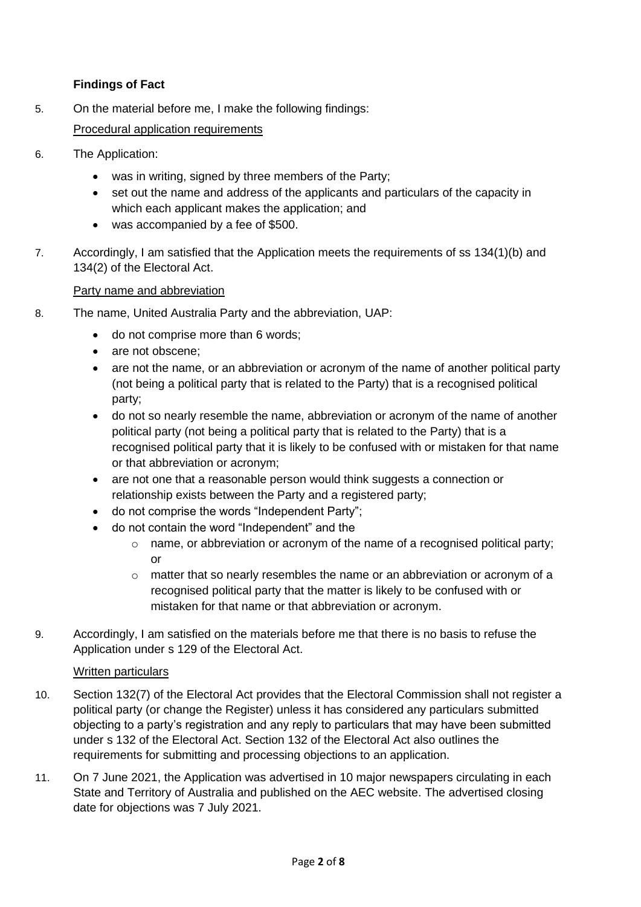# **Findings of Fact**

- 5. On the material before me, I make the following findings: Procedural application requirements
- 6. The Application:
	- was in writing, signed by three members of the Party;
	- set out the name and address of the applicants and particulars of the capacity in which each applicant makes the application; and
	- was accompanied by a fee of \$500.
- 7. Accordingly, I am satisfied that the Application meets the requirements of ss 134(1)(b) and 134(2) of the Electoral Act.

## Party name and abbreviation

- 8. The name, United Australia Party and the abbreviation, UAP:
	- do not comprise more than 6 words;
	- are not obscene:
	- are not the name, or an abbreviation or acronym of the name of another political party (not being a political party that is related to the Party) that is a recognised political party;
	- do not so nearly resemble the name, abbreviation or acronym of the name of another political party (not being a political party that is related to the Party) that is a recognised political party that it is likely to be confused with or mistaken for that name or that abbreviation or acronym;
	- are not one that a reasonable person would think suggests a connection or relationship exists between the Party and a registered party;
	- do not comprise the words "Independent Party";
	- do not contain the word "Independent" and the
		- $\circ$  name, or abbreviation or acronym of the name of a recognised political party; or
		- $\circ$  matter that so nearly resembles the name or an abbreviation or acronym of a recognised political party that the matter is likely to be confused with or mistaken for that name or that abbreviation or acronym.
- 9. Accordingly, I am satisfied on the materials before me that there is no basis to refuse the Application under s 129 of the Electoral Act.

# **Written particulars**

- 10. Section 132(7) of the Electoral Act provides that the Electoral Commission shall not register a political party (or change the Register) unless it has considered any particulars submitted objecting to a party's registration and any reply to particulars that may have been submitted under s 132 of the Electoral Act. Section 132 of the Electoral Act also outlines the requirements for submitting and processing objections to an application.
- 11. On 7 June 2021, the Application was advertised in 10 major newspapers circulating in each State and Territory of Australia and published on the AEC website. The advertised closing date for objections was 7 July 2021.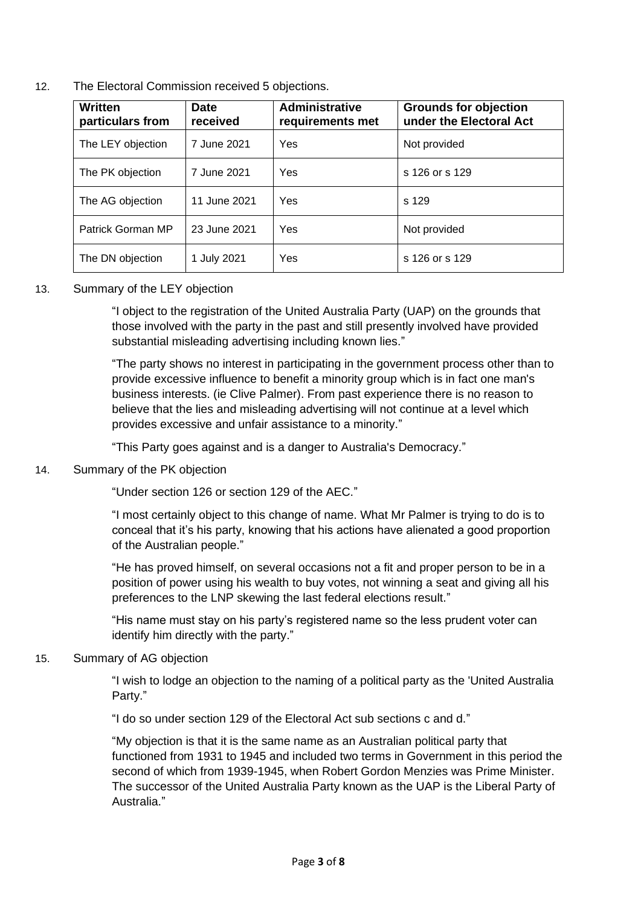12. The Electoral Commission received 5 objections.

| Written<br>particulars from | <b>Date</b><br>received | <b>Administrative</b><br>requirements met | <b>Grounds for objection</b><br>under the Electoral Act |
|-----------------------------|-------------------------|-------------------------------------------|---------------------------------------------------------|
| The LEY objection           | 7 June 2021             | Yes                                       | Not provided                                            |
| The PK objection            | 7 June 2021             | Yes                                       | s 126 or s 129                                          |
| The AG objection            | 11 June 2021            | Yes                                       | s 129                                                   |
| Patrick Gorman MP           | 23 June 2021            | Yes                                       | Not provided                                            |
| The DN objection            | 1 July 2021             | Yes                                       | s 126 or s 129                                          |

# 13. Summary of the LEY objection

"I object to the registration of the United Australia Party (UAP) on the grounds that those involved with the party in the past and still presently involved have provided substantial misleading advertising including known lies."

"The party shows no interest in participating in the government process other than to provide excessive influence to benefit a minority group which is in fact one man's business interests. (ie Clive Palmer). From past experience there is no reason to believe that the lies and misleading advertising will not continue at a level which provides excessive and unfair assistance to a minority."

"This Party goes against and is a danger to Australia's Democracy."

## 14. Summary of the PK objection

"Under section 126 or section 129 of the AEC."

"I most certainly object to this change of name. What Mr Palmer is trying to do is to conceal that it's his party, knowing that his actions have alienated a good proportion of the Australian people."

"He has proved himself, on several occasions not a fit and proper person to be in a position of power using his wealth to buy votes, not winning a seat and giving all his preferences to the LNP skewing the last federal elections result."

"His name must stay on his party's registered name so the less prudent voter can identify him directly with the party."

## 15. Summary of AG objection

"I wish to lodge an objection to the naming of a political party as the 'United Australia Party."

"I do so under section 129 of the Electoral Act sub sections c and d."

"My objection is that it is the same name as an Australian political party that functioned from 1931 to 1945 and included two terms in Government in this period the second of which from 1939-1945, when Robert Gordon Menzies was Prime Minister. The successor of the United Australia Party known as the UAP is the Liberal Party of Australia."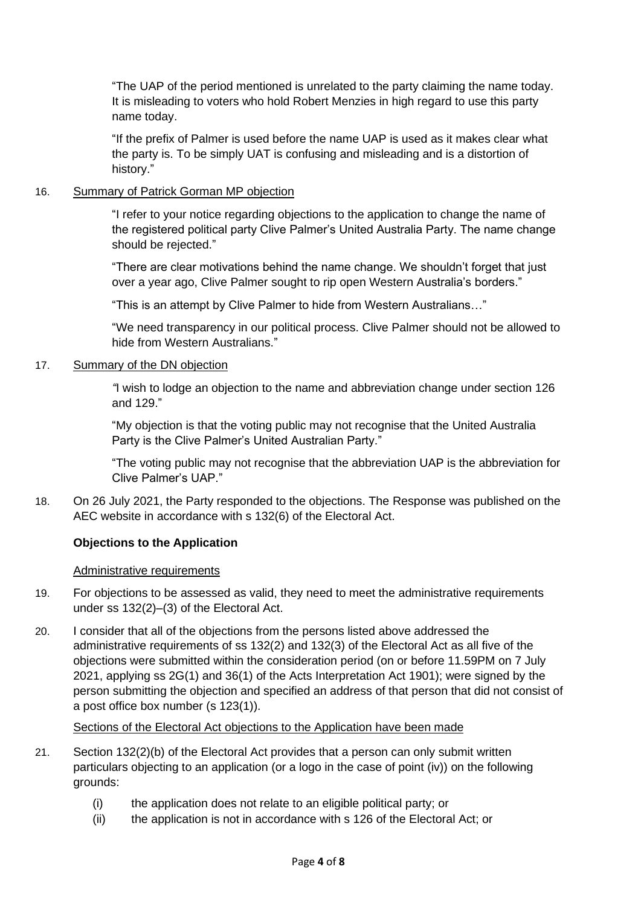"The UAP of the period mentioned is unrelated to the party claiming the name today. It is misleading to voters who hold Robert Menzies in high regard to use this party name today.

"If the prefix of Palmer is used before the name UAP is used as it makes clear what the party is. To be simply UAT is confusing and misleading and is a distortion of history."

## 16. Summary of Patrick Gorman MP objection

"I refer to your notice regarding objections to the application to change the name of the registered political party Clive Palmer's United Australia Party. The name change should be rejected."

"There are clear motivations behind the name change. We shouldn't forget that just over a year ago, Clive Palmer sought to rip open Western Australia's borders."

"This is an attempt by Clive Palmer to hide from Western Australians…"

"We need transparency in our political process. Clive Palmer should not be allowed to hide from Western Australians."

#### 17. Summary of the DN objection

*"*I wish to lodge an objection to the name and abbreviation change under section 126 and 129."

"My objection is that the voting public may not recognise that the United Australia Party is the Clive Palmer's United Australian Party."

"The voting public may not recognise that the abbreviation UAP is the abbreviation for Clive Palmer's UAP."

18. On 26 July 2021, the Party responded to the objections. The Response was published on the AEC website in accordance with s 132(6) of the Electoral Act.

## **Objections to the Application**

#### Administrative requirements

- 19. For objections to be assessed as valid, they need to meet the administrative requirements under ss 132(2)–(3) of the Electoral Act.
- 20. I consider that all of the objections from the persons listed above addressed the administrative requirements of ss 132(2) and 132(3) of the Electoral Act as all five of the objections were submitted within the consideration period (on or before 11.59PM on 7 July 2021, applying ss 2G(1) and 36(1) of the Acts Interpretation Act 1901); were signed by the person submitting the objection and specified an address of that person that did not consist of a post office box number (s 123(1)).

#### Sections of the Electoral Act objections to the Application have been made

- 21. Section 132(2)(b) of the Electoral Act provides that a person can only submit written particulars objecting to an application (or a logo in the case of point (iv)) on the following grounds:
	- (i) the application does not relate to an eligible political party; or
	- (ii) the application is not in accordance with s 126 of the Electoral Act; or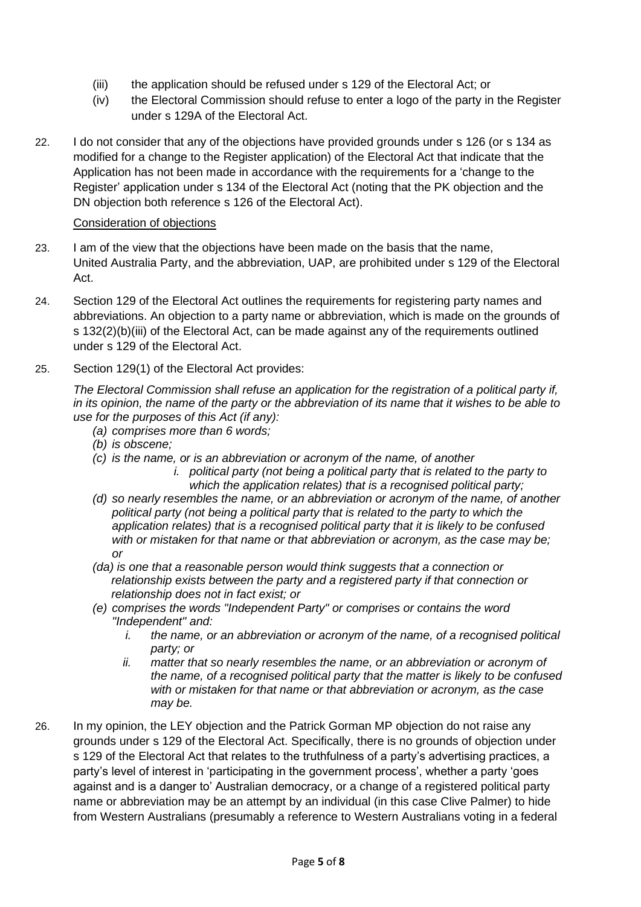- (iii) the application should be refused under s 129 of the Electoral Act; or
- (iv) the Electoral Commission should refuse to enter a logo of the party in the Register under s 129A of the Electoral Act.
- 22. I do not consider that any of the objections have provided grounds under s 126 (or s 134 as modified for a change to the Register application) of the Electoral Act that indicate that the Application has not been made in accordance with the requirements for a 'change to the Register' application under s 134 of the Electoral Act (noting that the PK objection and the DN objection both reference s 126 of the Electoral Act).

# Consideration of objections

- 23. I am of the view that the objections have been made on the basis that the name, United Australia Party, and the abbreviation, UAP, are prohibited under s 129 of the Electoral Act.
- 24. Section 129 of the Electoral Act outlines the requirements for registering party names and abbreviations. An objection to a party name or abbreviation, which is made on the grounds of s 132(2)(b)(iii) of the Electoral Act, can be made against any of the requirements outlined under s 129 of the Electoral Act.
- 25. Section 129(1) of the Electoral Act provides:

*The Electoral Commission shall refuse an application for the registration of a political party if, in its opinion, the name of the party or the abbreviation of its name that it wishes to be able to use for the purposes of this Act (if any):*

- *(a) comprises more than 6 words;*
- *(b) is obscene;*
- *(c) is the name, or is an abbreviation or acronym of the name, of another*
	- *i. political party (not being a political party that is related to the party to which the application relates) that is a recognised political party;*
- *(d) so nearly resembles the name, or an abbreviation or acronym of the name, of another political party (not being a political party that is related to the party to which the application relates) that is a recognised political party that it is likely to be confused with or mistaken for that name or that abbreviation or acronym, as the case may be; or*
- *(da) is one that a reasonable person would think suggests that a connection or relationship exists between the party and a registered party if that connection or relationship does not in fact exist; or*
- *(e) comprises the words "Independent Party" or comprises or contains the word "Independent" and:*
	- *i.* the name, or an abbreviation or acronym of the name, of a recognised political *party; or*
	- *ii. matter that so nearly resembles the name, or an abbreviation or acronym of the name, of a recognised political party that the matter is likely to be confused with or mistaken for that name or that abbreviation or acronym, as the case may be.*
- 26. In my opinion, the LEY objection and the Patrick Gorman MP objection do not raise any grounds under s 129 of the Electoral Act. Specifically, there is no grounds of objection under s 129 of the Electoral Act that relates to the truthfulness of a party's advertising practices, a party's level of interest in 'participating in the government process', whether a party 'goes against and is a danger to' Australian democracy, or a change of a registered political party name or abbreviation may be an attempt by an individual (in this case Clive Palmer) to hide from Western Australians (presumably a reference to Western Australians voting in a federal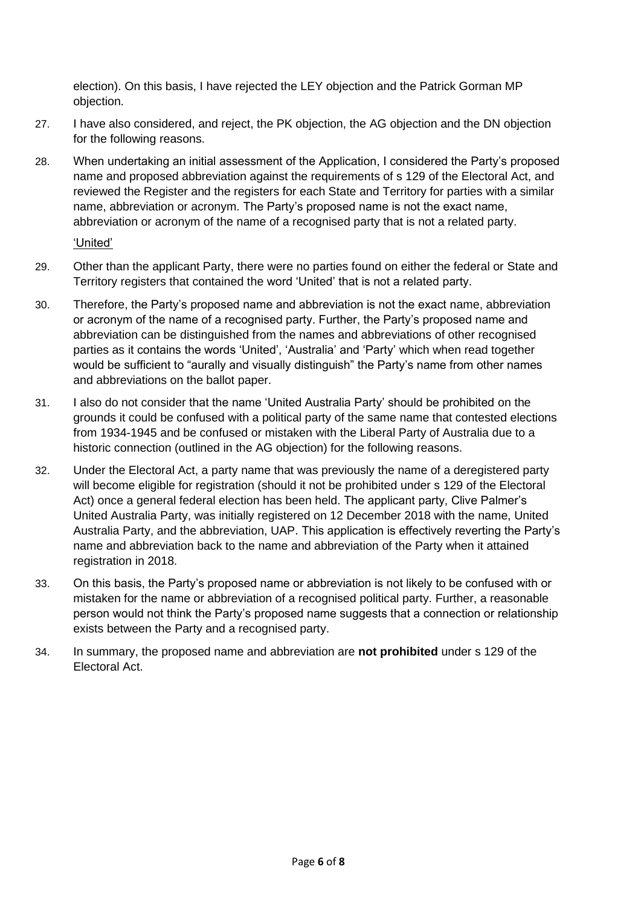election). On this basis, I have rejected the LEY objection and the Patrick Gorman MP objection.

- 27. I have also considered, and reject, the PK objection, the AG objection and the DN objection for the following reasons.
- 28. When undertaking an initial assessment of the Application, I considered the Party's proposed name and proposed abbreviation against the requirements of s 129 of the Electoral Act, and reviewed the Register and the registers for each State and Territory for parties with a similar name, abbreviation or acronym. The Party's proposed name is not the exact name, abbreviation or acronym of the name of a recognised party that is not a related party.

'United'

- 29. Other than the applicant Party, there were no parties found on either the federal or State and Territory registers that contained the word 'United' that is not a related party.
- 30. Therefore, the Party's proposed name and abbreviation is not the exact name, abbreviation or acronym of the name of a recognised party. Further, the Party's proposed name and abbreviation can be distinguished from the names and abbreviations of other recognised parties as it contains the words 'United', 'Australia' and 'Party' which when read together would be sufficient to "aurally and visually distinguish" the Party's name from other names and abbreviations on the ballot paper.
- 31. I also do not consider that the name 'United Australia Party' should be prohibited on the grounds it could be confused with a political party of the same name that contested elections from 1934-1945 and be confused or mistaken with the Liberal Party of Australia due to a historic connection (outlined in the AG objection) for the following reasons.
- 32. Under the Electoral Act, a party name that was previously the name of a deregistered party will become eligible for registration (should it not be prohibited under s 129 of the Electoral Act) once a general federal election has been held. The applicant party, Clive Palmer's United Australia Party, was initially registered on 12 December 2018 with the name, United Australia Party, and the abbreviation, UAP. This application is effectively reverting the Party's name and abbreviation back to the name and abbreviation of the Party when it attained registration in 2018.
- 33. On this basis, the Party's proposed name or abbreviation is not likely to be confused with or mistaken for the name or abbreviation of a recognised political party. Further, a reasonable person would not think the Party's proposed name suggests that a connection or relationship exists between the Party and a recognised party.
- 34. In summary, the proposed name and abbreviation are **not prohibited** under s 129 of the Electoral Act.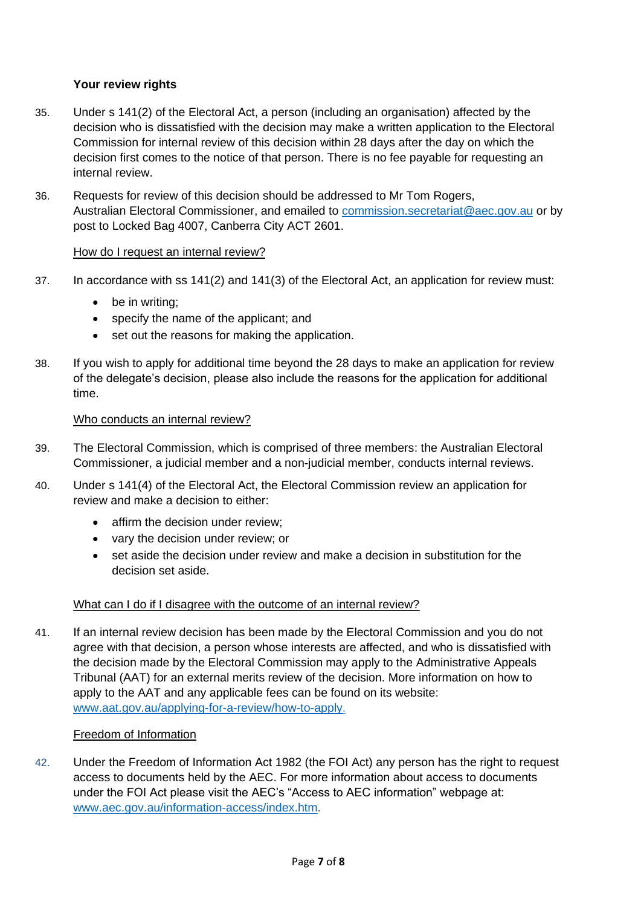# **Your review rights**

- 35. Under s 141(2) of the Electoral Act, a person (including an organisation) affected by the decision who is dissatisfied with the decision may make a written application to the Electoral Commission for internal review of this decision within 28 days after the day on which the decision first comes to the notice of that person. There is no fee payable for requesting an internal review.
- 36. Requests for review of this decision should be addressed to Mr Tom Rogers, Australian Electoral Commissioner, and emailed to [commission.secretariat@aec.gov.au](mailto:commission.secretariat@aec.gov.au) or by post to Locked Bag 4007, Canberra City ACT 2601.

# How do I request an internal review?

- 37. In accordance with ss 141(2) and 141(3) of the Electoral Act, an application for review must:
	- be in writing:
	- specify the name of the applicant; and
	- set out the reasons for making the application.
- 38. If you wish to apply for additional time beyond the 28 days to make an application for review of the delegate's decision, please also include the reasons for the application for additional time.

#### Who conducts an internal review?

- 39. The Electoral Commission, which is comprised of three members: the Australian Electoral Commissioner, a judicial member and a non-judicial member, conducts internal reviews.
- 40. Under s 141(4) of the Electoral Act, the Electoral Commission review an application for review and make a decision to either:
	- affirm the decision under review;
	- vary the decision under review; or
	- set aside the decision under review and make a decision in substitution for the decision set aside.

## What can I do if I disagree with the outcome of an internal review?

41. If an internal review decision has been made by the Electoral Commission and you do not agree with that decision, a person whose interests are affected, and who is dissatisfied with the decision made by the Electoral Commission may apply to the Administrative Appeals Tribunal (AAT) for an external merits review of the decision. More information on how to apply to the AAT and any applicable fees can be found on its website: [www.aat.gov.au/applying-for-a-review/how-to-apply.](http://www.aat.gov.au/applying-for-a-review/how-to-apply)

## Freedom of Information

42. Under the Freedom of Information Act 1982 (the FOI Act) any person has the right to request access to documents held by the AEC. For more information about access to documents under the FOI Act please visit the AEC's "Access to AEC information" webpage at: [www.aec.gov.au/information-access/index.htm.](http://www.aec.gov.au/information-access/index.htm)